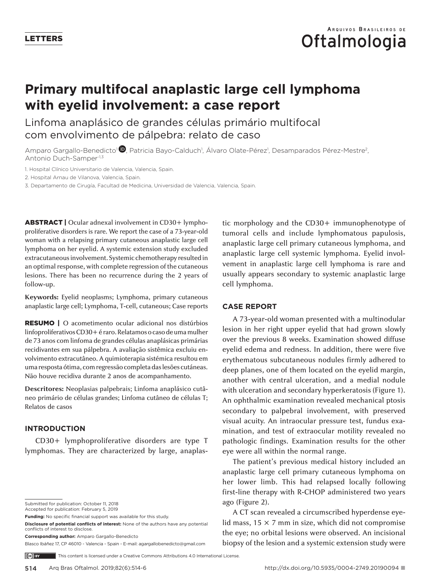# **Primary multifocal anaplastic large cell lymphoma with eyelid involvement: a case report**

Linfoma anaplásico de grandes células primário multifocal com envolvimento de pálpebra: relato de caso

Amparo Gargallo-Benedicto<sup>1</sup> (D)[,](https://orcid.org/0000-0003-1357-7944) Patricia Bayo-Calduch<sup>1</sup>, Álvaro Olate-Pérez<sup>1</sup>, Desamparados Pérez-Mestre<sup>2</sup>, Antonio Duch-Samper-1,3

1. Hospital Clínico Universitario de Valencia, Valencia, Spain.

2. Hospital Arnau de Vilanova, Valencia, Spain.

3. Departamento de Cirugía, Facultad de Medicina, Universidad de Valencia, Valencia, Spain.

ABSTRACT | Ocular adnexal involvement in CD30+ lymphoproliferative disorders is rare. We report the case of a 73-year-old woman with a relapsing primary cutaneous anaplastic large cell lymphoma on her eyelid. A systemic extension study excluded extracutaneous involvement. Systemic chemotherapy resulted in an optimal response, with complete regression of the cutaneous lesions. There has been no recurrence during the 2 years of follow-up.

**Keywords:** Eyelid neoplasms; Lymphoma, primary cutaneous anaplastic large cell; Lymphoma, T-cell, cutaneous; Case reports

RESUMO | O acometimento ocular adicional nos distúrbios linfoproliferativos CD30+ é raro. Relatamos o caso de uma mulher de 73 anos com linfoma de grandes células anaplásicas primárias recidivantes em sua pálpebra. A avaliação sistêmica excluiu envolvimento extracutâneo. A quimioterapia sistémica resultou em uma resposta ótima, com regressão completa das lesões cutáneas. Não houve recidiva durante 2 anos de acompanhamento.

**Descritores:** Neoplasias palpebrais; Linfoma anaplásico cutâneo primário de células grandes; Linfoma cutâneo de células T; Relatos de casos

#### **INTRODUCTION**

CD30+ lymphoproliferative disorders are type T lymphomas. They are characterized by large, anaplas-

Submitted for publication: October 11, 2018

Accepted for publication: February 5, 2019

**Funding:** No specific financial support was available for this study.

**Disclosure of potential conflicts of interest:** None of the authors have any potential conflicts of interest to disclose. **Corresponding author:** Amparo Gargallo-Benedicto

Blasco Ibáñez 17, CP 46010 - Valencia - Spain - E-mail: agargallobenedicto@gmail.com

tic morphology and the CD30+ immunophenotype of tumoral cells and include lymphomatous papulosis, anaplastic large cell primary cutaneous lymphoma, and anaplastic large cell systemic lymphoma. Eyelid involvement in anaplastic large cell lymphoma is rare and usually appears secondary to systemic anaplastic large cell lymphoma.

### **CASE REPORT**

A 73-year-old woman presented with a multinodular lesion in her right upper eyelid that had grown slowly over the previous 8 weeks. Examination showed diffuse eyelid edema and redness. In addition, there were five erythematous subcutaneous nodules firmly adhered to deep planes, one of them located on the eyelid margin, another with central ulceration, and a medial nodule with ulceration and secondary hyperkeratosis (Figure 1). An ophthalmic examination revealed mechanical ptosis secondary to palpebral involvement, with preserved visual acuity. An intraocular pressure test, fundus examination, and test of extraocular motility revealed no pathologic findings. Examination results for the other eye were all within the normal range.

The patient's previous medical history included an anaplastic large cell primary cutaneous lymphoma on her lower limb. This had relapsed locally following first-line therapy with R-CHOP administered two years ago (Figure 2).

A CT scan revealed a circumscribed hyperdense eyelid mass,  $15 \times 7$  mm in size, which did not compromise the eye; no orbital lesions were observed. An incisional biopsy of the lesion and a systemic extension study were

 $(c)$  BY This content is licensed under a Creative Commons Attributions 4.0 International License.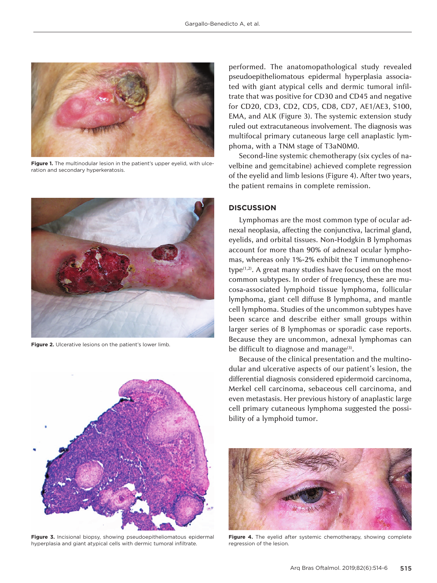

**Figure 1.** The multinodular lesion in the patient's upper eyelid, with ulceration and secondary hyperkeratosis.



**Figure 2.** Ulcerative lesions on the patient's lower limb.



**Figure 3.** Incisional biopsy, showing pseudoepitheliomatous epidermal hyperplasia and giant atypical cells with dermic tumoral infiltrate.

performed. The anatomopathological study revealed pseudoepitheliomatous epidermal hyperplasia associated with giant atypical cells and dermic tumoral infiltrate that was positive for CD30 and CD45 and negative for CD20, CD3, CD2, CD5, CD8, CD7, AE1/AE3, S100, EMA, and ALK (Figure 3). The systemic extension study ruled out extracutaneous involvement. The diagnosis was multifocal primary cutaneous large cell anaplastic lymphoma, with a TNM stage of T3aN0M0.

Second-line systemic chemotherapy (six cycles of navelbine and gemcitabine) achieved complete regression of the eyelid and limb lesions (Figure 4). After two years, the patient remains in complete remission.

## **DISCUSSION**

Lymphomas are the most common type of ocular adnexal neoplasia, affecting the conjunctiva, lacrimal gland, eyelids, and orbital tissues. Non-Hodgkin B lymphomas account for more than 90% of adnexal ocular lymphomas, whereas only 1%-2% exhibit the T immunophenotype $(1,2)$ . A great many studies have focused on the most common subtypes. In order of frequency, these are mucosa-associated lymphoid tissue lymphoma, follicular lymphoma, giant cell diffuse B lymphoma, and mantle cell lymphoma. Studies of the uncommon subtypes have been scarce and describe either small groups within larger series of B lymphomas or sporadic case reports. Because they are uncommon, adnexal lymphomas can be difficult to diagnose and manage<sup>(3)</sup>.

Because of the clinical presentation and the multinodular and ulcerative aspects of our patient's lesion, the differential diagnosis considered epidermoid carcinoma, Merkel cell carcinoma, sebaceous cell carcinoma, and even metastasis. Her previous history of anaplastic large cell primary cutaneous lymphoma suggested the possibility of a lymphoid tumor.



Figure 4. The eyelid after systemic chemotherapy, showing complete regression of the lesion.